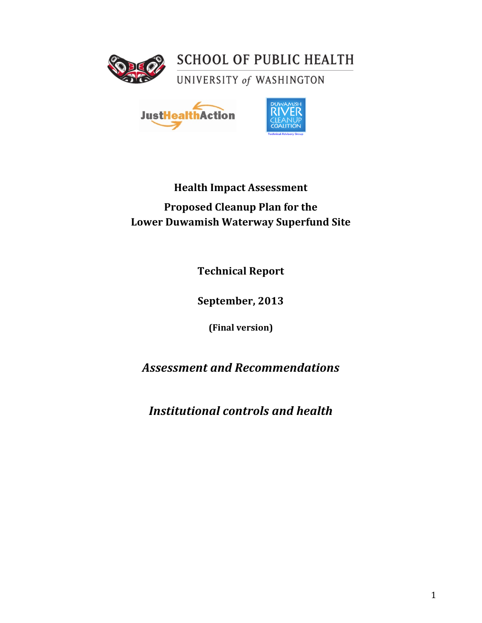



# **Health Impact Assessment Proposed Cleanup Plan for the Lower Duwamish Waterway Superfund Site**

**Technical!Report**

**September, 2013** 

**(Final!version)**

*Assessment'and'Recommendations*

*Institutional'controls'and'health*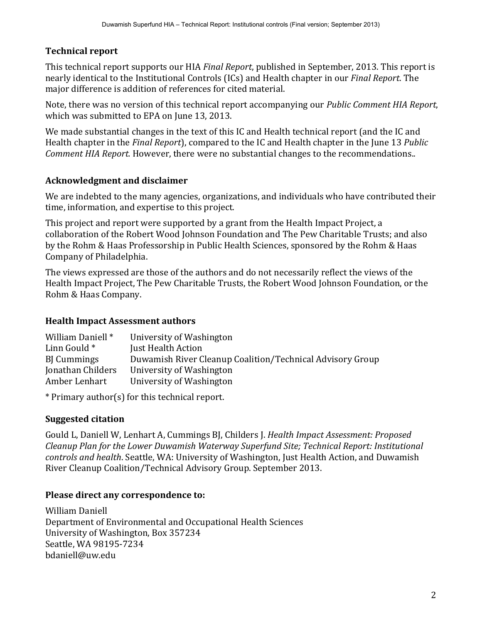# **Technical report**

This technical report supports our HIA *Final Report*, published in September, 2013. This report is nearly identical to the Institutional Controls (ICs) and Health chapter in our *Final Report*. The major difference is addition of references for cited material.

Note, there was no version of this technical report accompanying our *Public Comment HIA Report*, which was submitted to EPA on June 13, 2013.

We made substantial changes in the text of this IC and Health technical report (and the IC and Health chapter in the *Final Report*), compared to the IC and Health chapter in the June 13 *Public Comment HIA Report.* However, there were no substantial changes to the recommendations..

### **Acknowledgment!and!disclaimer**

We are indebted to the many agencies, organizations, and individuals who have contributed their time, information, and expertise to this project.

This project and report were supported by a grant from the Health Impact Project, a collaboration of the Robert Wood Johnson Foundation and The Pew Charitable Trusts; and also by the Rohm & Haas Professorship in Public Health Sciences, sponsored by the Rohm & Haas Company of Philadelphia.

The views expressed are those of the authors and do not necessarily reflect the views of the Health Impact Project, The Pew Charitable Trusts, the Robert Wood Johnson Foundation, or the Rohm & Haas Company.

### **Health Impact Assessment authors**

| William Daniell * | University of Washington                                  |
|-------------------|-----------------------------------------------------------|
| Linn Gould *      | Just Health Action                                        |
| <b>B</b> Cummings | Duwamish River Cleanup Coalition/Technical Advisory Group |
| Jonathan Childers | University of Washington                                  |
| Amber Lenhart     | University of Washington                                  |
|                   |                                                           |

\* Primary author(s) for this technical report.

# **Suggested citation**

Gould L, Daniell W, Lenhart A, Cummings BJ, Childers J. *Health Impact Assessment: Proposed Cleanup!Plan!for the!Lower!Duwamish!Waterway!Superfund!Site;!Technical!Report:!Institutional! controls and health.* Seattle, WA: University of Washington, Just Health Action, and Duwamish River Cleanup Coalition/Technical Advisory Group. September 2013.

### Please direct any correspondence to:

William Daniell Department of Environmental and Occupational Health Sciences University!of!Washington,!Box!357234 Seattle, WA 98195-7234 bdaniell@uw.edu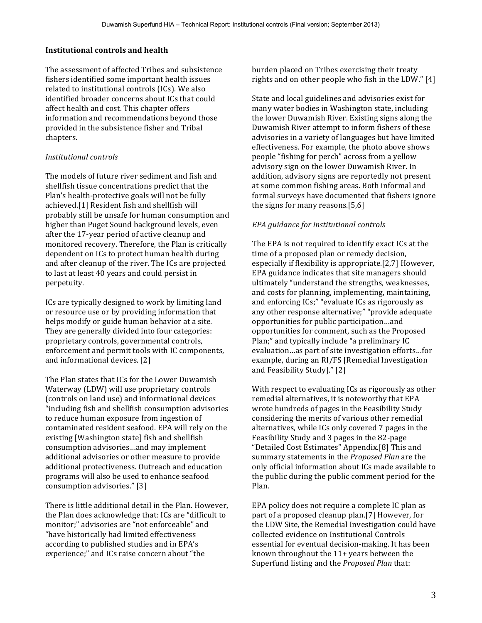#### **Institutional controls and health**

The assessment of affected Tribes and subsistence fishers identified some important health issues related to institutional controls (ICs). We also identified broader concerns about ICs that could affect health and cost. This chapter offers information and recommendations beyond those provided in the subsistence fisher and Tribal chapters.

#### *Institutional!controls*

The models of future river sediment and fish and shellfish tissue concentrations predict that the Plan's health-protective goals will not be fully achieved.<sup>[1]</sup> Resident fish and shellfish will probably still be unsafe for human consumption and higher than Puget Sound background levels, even after the 17-year period of active cleanup and monitored recovery. Therefore, the Plan is critically dependent on ICs to protect human health during and after cleanup of the river. The ICs are projected to last at least 40 years and could persist in perpetuity.

ICs are typically designed to work by limiting land or resource use or by providing information that helps modify or guide human behavior at a site. They are generally divided into four categories: proprietary controls, governmental controls, enforcement and permit tools with IC components, and informational devices. [2]

The Plan states that ICs for the Lower Duwamish Waterway (LDW) will use proprietary controls (controls on land use) and informational devices "including fish and shellfish consumption advisories to reduce human exposure from ingestion of contaminated resident seafood. EPA will rely on the existing [Washington state] fish and shellfish consumption advisories...and may implement additional advisories or other measure to provide additional protectiveness. Outreach and education programs will also be used to enhance seafood consumption advisories." [3]

There is little additional detail in the Plan. However, the Plan does acknowledge that: ICs are "difficult to monitor;" advisories are "not enforceable" and "have historically had limited effectiveness according to published studies and in EPA's experience;" and ICs raise concern about "the

burden placed on Tribes exercising their treaty rights and on other people who fish in the LDW."  $[4]$ 

State and local guidelines and advisories exist for many water bodies in Washington state, including the lower Duwamish River. Existing signs along the Duwamish River attempt to inform fishers of these advisories in a variety of languages but have limited effectiveness. For example, the photo above shows people "fishing for perch" across from a yellow advisory sign on the lower Duwamish River. In addition, advisory signs are reportedly not present at some common fishing areas. Both informal and formal surveys have documented that fishers ignore the signs for many reasons. $[5,6]$ 

#### *EPA guidance for institutional controls*

The EPA is not required to identify exact ICs at the time of a proposed plan or remedy decision, especially if flexibility is appropriate. $[2,7]$  However, EPA guidance indicates that site managers should ultimately "understand the strengths, weaknesses, and costs for planning, implementing, maintaining, and enforcing ICs;" "evaluate ICs as rigorously as any other response alternative;" "provide adequate opportunities for public participation…and opportunities for comment, such as the Proposed Plan;" and typically include "a preliminary IC evaluation...as part of site investigation efforts...for example, during an RI/FS [Remedial Investigation] and Feasibility Study]." [2]

With respect to evaluating ICs as rigorously as other remedial alternatives, it is noteworthy that EPA wrote hundreds of pages in the Feasibility Study considering the merits of various other remedial alternatives, while ICs only covered 7 pages in the Feasibility Study and 3 pages in the 82-page "Detailed Cost Estimates" Appendix.[8] This and summary statements in the *Proposed Plan* are the only official information about ICs made available to the public during the public comment period for the Plan.!

EPA policy does not require a complete IC plan as part of a proposed cleanup plan.[7] However, for the LDW Site, the Remedial Investigation could have collected evidence on Institutional Controls essential for eventual decision-making. It has been known throughout the 11+ years between the Superfund listing and the *Proposed Plan* that: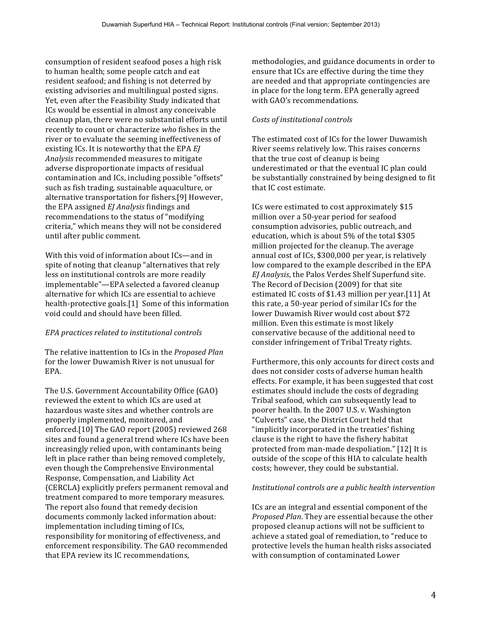consumption of resident seafood poses a high risk to human health; some people catch and eat resident seafood; and fishing is not deterred by existing advisories and multilingual posted signs. Yet, even after the Feasibility Study indicated that ICs would be essential in almost any conceivable cleanup plan, there were no substantial efforts until recently to count or characterize *who* fishes in the river or to evaluate the seeming ineffectiveness of existing ICs. It is noteworthy that the EPA *EI* Analysis recommended measures to mitigate adverse disproportionate impacts of residual contamination and ICs, including possible "offsets" such as fish trading, sustainable aquaculture, or alternative transportation for fishers.[9] However, the EPA assigned *EJ Analysis* findings and recommendations to the status of "modifying" criteria," which means they will not be considered until after public comment.

With this void of information about ICs—and in spite of noting that cleanup "alternatives that rely less on institutional controls are more readily implementable"—EPA selected a favored cleanup alternative for which ICs are essential to achieve health-protective goals.[1] Some of this information void could and should have been filled.

#### *EPA!practices!related!to institutional!controls*

The relative inattention to ICs in the *Proposed Plan* for the lower Duwamish River is not unusual for EPA.

The U.S. Government Accountability Office (GAO) reviewed the extent to which ICs are used at hazardous waste sites and whether controls are properly implemented, monitored, and enforced.[10] The GAO report (2005) reviewed 268 sites and found a general trend where ICs have been increasingly relied upon, with contaminants being left in place rather than being removed completely, even though the Comprehensive Environmental Response, Compensation, and Liability Act (CERCLA) explicitly prefers permanent removal and treatment compared to more temporary measures. The report also found that remedy decision documents commonly lacked information about: implementation including timing of ICs, responsibility for monitoring of effectiveness, and enforcement responsibility. The GAO recommended that EPA review its IC recommendations,

methodologies, and guidance documents in order to ensure that ICs are effective during the time they are needed and that appropriate contingencies are in place for the long term. EPA generally agreed with GAO's recommendations.

#### *Costs of institutional controls*

The estimated cost of ICs for the lower Duwamish River seems relatively low. This raises concerns that the true cost of cleanup is being underestimated or that the eventual IC plan could be substantially constrained by being designed to fit that IC cost estimate.

ICs were estimated to cost approximately \$15 million over a 50-year period for seafood consumption advisories, public outreach, and education, which is about 5% of the total \$305 million projected for the cleanup. The average annual cost of ICs, \$300,000 per year, is relatively low compared to the example described in the EPA *EJ Analysis*, the Palos Verdes Shelf Superfund site. The Record of Decision (2009) for that site estimated IC costs of \$1.43 million per year.[11] At this rate, a 50-year period of similar ICs for the lower Duwamish River would cost about \$72 million. Even this estimate is most likely conservative because of the additional need to consider infringement of Tribal Treaty rights.

Furthermore, this only accounts for direct costs and does not consider costs of adverse human health effects. For example, it has been suggested that cost estimates should include the costs of degrading Tribal seafood, which can subsequently lead to poorer health. In the 2007 U.S. v. Washington "Culverts" case, the District Court held that "implicitly incorporated in the treaties' fishing clause is the right to have the fishery habitat protected from man-made despoliation." [12] It is outside of the scope of this HIA to calculate health costs; however, they could be substantial.

#### *Institutional!controls!are!a!public!health intervention*

ICs are an integral and essential component of the *Proposed Plan.* They are essential because the other proposed cleanup actions will not be sufficient to achieve a stated goal of remediation, to "reduce to protective levels the human health risks associated with consumption of contaminated Lower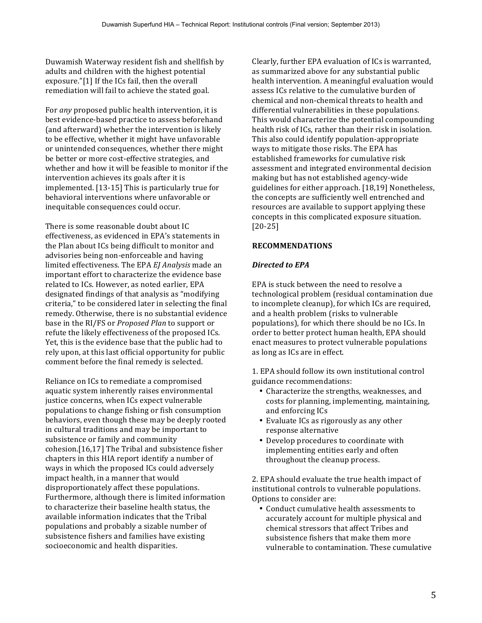Duwamish Waterway resident fish and shellfish by adults and children with the highest potential exposure."[1] If the ICs fail, then the overall remediation will fail to achieve the stated goal.

For *any* proposed public health intervention, it is best evidence-based practice to assess beforehand (and afterward) whether the intervention is likely to be effective, whether it might have unfavorable or unintended consequences, whether there might be better or more cost-effective strategies, and whether and how it will be feasible to monitor if the intervention achieves its goals after it is implemented.  $[13-15]$  This is particularly true for behavioral interventions where unfavorable or inequitable consequences could occur.

There is some reasonable doubt about IC effectiveness, as evidenced in EPA's statements in the Plan about ICs being difficult to monitor and advisories being non-enforceable and having limited effectiveness. The EPA EJ Analysis made an important effort to characterize the evidence base related to ICs. However, as noted earlier, EPA designated findings of that analysis as "modifying" criteria," to be considered later in selecting the final remedy. Otherwise, there is no substantial evidence base in the RI/FS or *Proposed Plan* to support or refute the likely effectiveness of the proposed ICs. Yet, this is the evidence base that the public had to rely upon, at this last official opportunity for public comment before the final remedy is selected.

Reliance on ICs to remediate a compromised aquatic system inherently raises environmental justice concerns, when ICs expect vulnerable populations to change fishing or fish consumption behaviors, even though these may be deeply rooted in cultural traditions and may be important to subsistence or family and community  $cohesion.[16,17]$  The Tribal and subsistence fisher chapters in this HIA report identify a number of ways in which the proposed ICs could adversely impact health, in a manner that would disproportionately affect these populations. Furthermore, although there is limited information to characterize their baseline health status, the available information indicates that the Tribal populations and probably a sizable number of subsistence fishers and families have existing socioeconomic and health disparities.

Clearly, further EPA evaluation of ICs is warranted, as summarized above for any substantial public health intervention. A meaningful evaluation would assess ICs relative to the cumulative burden of chemical and non-chemical threats to health and differential vulnerabilities in these populations. This would characterize the potential compounding health risk of ICs, rather than their risk in isolation. This also could identify population-appropriate ways to mitigate those risks. The EPA has established frameworks for cumulative risk assessment and integrated environmental decision making but has not established agency-wide guidelines for either approach. [18,19] Nonetheless, the concepts are sufficiently well entrenched and resources are available to support applying these concepts in this complicated exposure situation. [20\_25]

#### **RECOMMENDATIONS**

#### *Directed'to'EPA*

EPA is stuck between the need to resolve a technological problem (residual contamination due to incomplete cleanup), for which ICs are required, and a health problem (risks to vulnerable populations), for which there should be no ICs. In order to better protect human health, EPA should enact measures to protect vulnerable populations as long as ICs are in effect.

1. EPA should follow its own institutional control guidance recommendations:

- Characterize the strengths, weaknesses, and costs for planning, implementing, maintaining, and enforcing ICs
- Evaluate ICs as rigorously as any other response alternative
- Develop procedures to coordinate with implementing entities early and often throughout the cleanup process.

2. EPA should evaluate the true health impact of institutional controls to vulnerable populations. Options to consider are:

• Conduct cumulative health assessments to accurately account for multiple physical and chemical stressors that affect Tribes and subsistence fishers that make them more vulnerable to contamination. These cumulative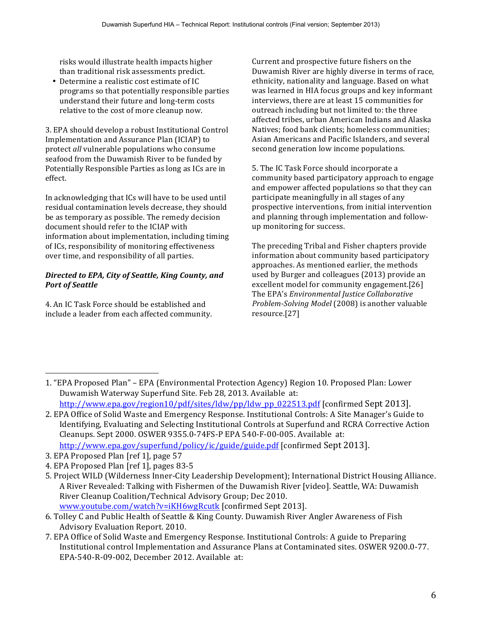risks would illustrate health impacts higher than traditional risk assessments predict.

• Determine a realistic cost estimate of IC programs so that potentially responsible parties understand their future and long-term costs relative to the cost of more cleanup now.

3. EPA should develop a robust Institutional Control Implementation and Assurance Plan (ICIAP) to protect *all* vulnerable populations who consume seafood from the Duwamish River to be funded by Potentially Responsible Parties as long as ICs are in effect.!

In acknowledging that ICs will have to be used until residual contamination levels decrease, they should be as temporary as possible. The remedy decision document should refer to the ICIAP with information about implementation, including timing of ICs, responsibility of monitoring effectiveness over time, and responsibility of all parties.

#### Directed to EPA, City of Seattle, King County, and *Port of Seattle*

4. An IC Task Force should be established and include a leader from each affected community. Current and prospective future fishers on the Duwamish River are highly diverse in terms of race, ethnicity, nationality and language. Based on what was learned in HIA focus groups and key informant interviews, there are at least 15 communities for outreach including but not limited to: the three affected tribes, urban American Indians and Alaska Natives: food bank clients: homeless communities: Asian Americans and Pacific Islanders, and several second generation low income populations.

5. The IC Task Force should incorporate a community based participatory approach to engage and empower affected populations so that they can participate meaningfully in all stages of any prospective interventions, from initial intervention and planning through implementation and followup monitoring for success.

The preceding Tribal and Fisher chapters provide information about community based participatory approaches. As mentioned earlier, the methods used by Burger and colleagues (2013) provide an excellent model for community engagement.[26] The EPA's *Environmental Justice Collaborative Problem-Solving Model* (2008) is another valuable resource.[27]

!!!!!!!!!!!!!!!!!!!!!!!!!!!!!!!!!!!!!!!!!!!!!!!!!!!!!!!

<sup>1. &</sup>quot;EPA Proposed Plan" – EPA (Environmental Protection Agency) Region 10. Proposed Plan: Lower Duwamish Waterway Superfund Site. Feb 28, 2013. Available at: http://www.epa.gov/region10/pdf/sites/ldw/pp/ldw\_pp\_022513.pdf [confirmed Sept 2013].

<sup>2.</sup> EPA Office of Solid Waste and Emergency Response. Institutional Controls: A Site Manager's Guide to Identifying, Evaluating and Selecting Institutional Controls at Superfund and RCRA Corrective Action Cleanups. Sept 2000. OSWER 9355.0-74FS-P EPA 540-F-00-005. Available at:

http://www.epa.gov/superfund/policy/ic/guide/guide.pdf [confirmed Sept 2013].

<sup>3.</sup> EPA Proposed Plan [ref 1], page 57

<sup>4.</sup> EPA Proposed Plan [ref 1], pages 83-5

<sup>5.</sup> Project WILD (Wilderness Inner-City Leadership Development); International District Housing Alliance. A River Revealed: Talking with Fishermen of the Duwamish River [video]. Seattle, WA: Duwamish River Cleanup Coalition/Technical Advisory Group; Dec 2010. www.youtube.com/watch?v=iKH6wgRcutk [confirmed Sept 2013].

<sup>6.</sup> Tolley C and Public Health of Seattle & King County. Duwamish River Angler Awareness of Fish Advisory Evaluation Report. 2010.

<sup>7.</sup> EPA Office of Solid Waste and Emergency Response. Institutional Controls: A guide to Preparing Institutional control Implementation and Assurance Plans at Contaminated sites. OSWER 9200.0-77. EPA-540-R-09-002, December 2012. Available at: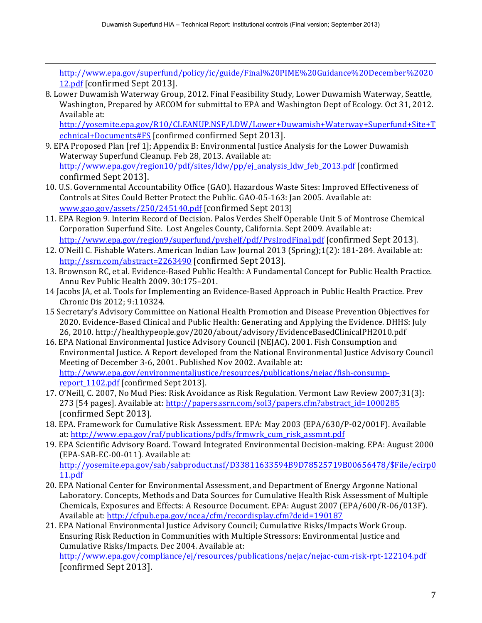!!!!!!!!!!!!!!!!!!!!!!!!!!!!!!!!!!!!!!!!!!!!!!!!!!!!!!!!!!!!!!!!!!!!!!!!!!!!!!!!!!!!!!!!!!!!!!!!!!!!!!!!!!!!!!!!!!!!!!!!!!!!!!!!!!!!!!!!!!!!!!!!!!!!!!!!!!!!!!!!!!!!!!!!!!!!!!!!!!!!!!!!!!!!!

http://www.epa.gov/superfund/policy/ic/guide/Final%20PIME%20Guidance%20December%2020 12.pdf [confirmed Sept 2013].

8. Lower Duwamish Waterway Group, 2012. Final Feasibility Study, Lower Duwamish Waterway, Seattle, Washington, Prepared by AECOM for submittal to EPA and Washington Dept of Ecology. Oct 31, 2012. Available at:

http://yosemite.epa.gov/R10/CLEANUP.NSF/LDW/Lower+Duwamish+Waterway+Superfund+Site+T echnical+Documents#FS [confirmed confirmed Sept 2013].

- 9. EPA Proposed Plan [ref 1]; Appendix B: Environmental Justice Analysis for the Lower Duwamish Waterway Superfund Cleanup. Feb 28, 2013. Available at: http://www.epa.gov/region10/pdf/sites/ldw/pp/ej\_analysis\_ldw\_feb\_2013.pdf [confirmed! confirmed Sept 2013].
- 10. U.S. Governmental Accountability Office (GAO). Hazardous Waste Sites: Improved Effectiveness of Controls at Sites Could Better Protect the Public. GAO-05-163: Jan 2005. Available at: www.gao.gov/assets/250/245140.pdf [confirmed Sept 2013]
- 11. EPA Region 9. Interim Record of Decision. Palos Verdes Shelf Operable Unit 5 of Montrose Chemical Corporation Superfund Site. Lost Angeles County, California. Sept 2009. Available at: http://www.epa.gov/region9/superfund/pvshelf/pdf/PvsIrodFinal.pdf [confirmed Sept 2013].
- 12. O'Neill C. Fishable Waters. American Indian Law Journal 2013 (Spring);1(2): 181-284. Available at: http://ssrn.com/abstract=2263490 [confirmed Sept 2013].
- 13. Brownson RC, et al. Evidence-Based Public Health: A Fundamental Concept for Public Health Practice. Annu Rev Public Health 2009. 30:175-201.
- 14 Jacobs JA, et al. Tools for Implementing an Evidence-Based Approach in Public Health Practice. Prev Chronic Dis 2012; 9:110324.
- 15 Secretary's Advisory Committee on National Health Promotion and Disease Prevention Objectives for 2020. Evidence-Based Clinical and Public Health: Generating and Applying the Evidence. DHHS: July 26, 2010. http://healthypeople.gov/2020/about/advisory/EvidenceBasedClinicalPH2010.pdf
- 16. EPA National Environmental Justice Advisory Council (NEJAC). 2001. Fish Consumption and Environmental Justice. A Report developed from the National Environmental Justice Advisory Council Meeting of December 3-6, 2001. Published Nov 2002. Available at: http://www.epa.gov/environmentaljustice/resources/publications/nejac/fish-consumpreport\_1102.pdf [confirmed Sept 2013].
- 17. O'Neill, C. 2007, No Mud Pies: Risk Avoidance as Risk Regulation. Vermont Law Review 2007;31(3): 273 [54 pages]. Available at: http://papers.ssrn.com/sol3/papers.cfm?abstract\_id=1000285 [confirmed Sept 2013].
- 18. EPA. Framework for Cumulative Risk Assessment. EPA: May 2003 (EPA/630/P-02/001F). Available at: http://www.epa.gov/raf/publications/pdfs/frmwrk\_cum\_risk\_assmnt.pdf
- 19. EPA Scientific Advisory Board. Toward Integrated Environmental Decision-making. EPA: August 2000 (EPA-SAB-EC-00-011). Available at: http://yosemite.epa.gov/sab/sabproduct.nsf/D33811633594B9D78525719B00656478/\$File/ecirp0 11.pdf
- 20. EPA National Center for Environmental Assessment, and Department of Energy Argonne National Laboratory. Concepts, Methods and Data Sources for Cumulative Health Risk Assessment of Multiple Chemicals, Exposures and Effects: A Resource Document. EPA: August 2007 (EPA/600/R-06/013F). Available at: http://cfpub.epa.gov/ncea/cfm/recordisplay.cfm?deid=190187
- 21. EPA National Environmental Justice Advisory Council; Cumulative Risks/Impacts Work Group. Ensuring Risk Reduction in Communities with Multiple Stressors: Environmental Justice and Cumulative Risks/Impacts. Dec 2004. Available at:

http://www.epa.gov/compliance/ej/resources/publications/nejac/nejac-cum-risk-rpt-122104.pdf [confirmed Sept 2013].